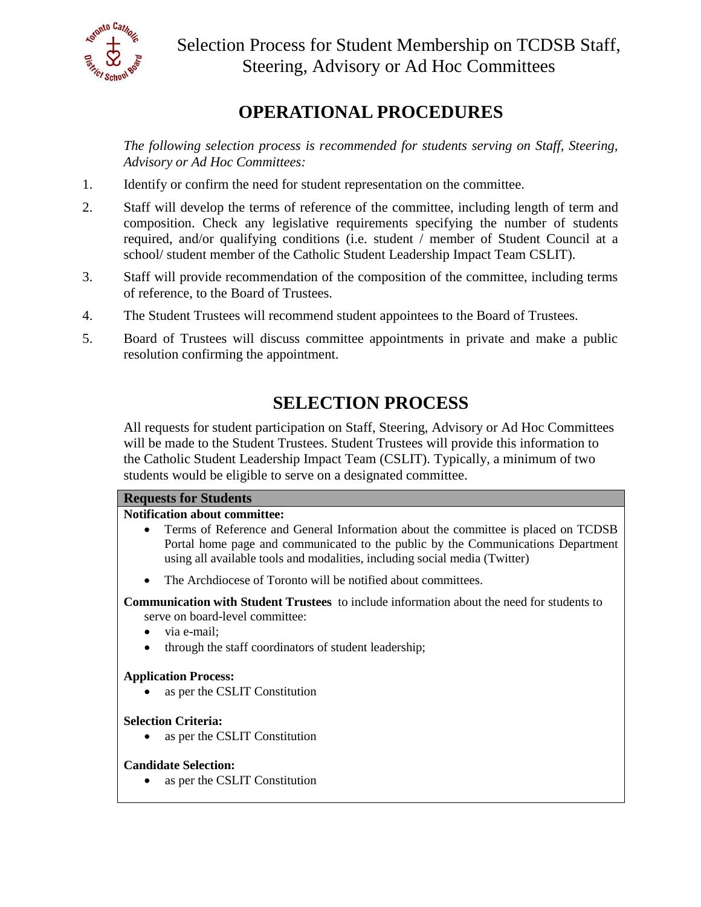

## **OPERATIONAL PROCEDURES**

*The following selection process is recommended for students serving on Staff, Steering, Advisory or Ad Hoc Committees:* 

- 1. Identify or confirm the need for student representation on the committee.
- 2. Staff will develop the terms of reference of the committee, including length of term and composition. Check any legislative requirements specifying the number of students required, and/or qualifying conditions (i.e. student / member of Student Council at a school/ student member of the Catholic Student Leadership Impact Team CSLIT).
- 3. Staff will provide recommendation of the composition of the committee, including terms of reference, to the Board of Trustees.
- 4. The Student Trustees will recommend student appointees to the Board of Trustees.
- 5. Board of Trustees will discuss committee appointments in private and make a public resolution confirming the appointment.

# **SELECTION PROCESS**

All requests for student participation on Staff, Steering, Advisory or Ad Hoc Committees will be made to the Student Trustees. Student Trustees will provide this information to the Catholic Student Leadership Impact Team (CSLIT). Typically, a minimum of two students would be eligible to serve on a designated committee.

### **Requests for Students**

### **Notification about committee:**

- Terms of Reference and General Information about the committee is placed on TCDSB Portal home page and communicated to the public by the Communications Department using all available tools and modalities, including social media (Twitter)
- The Archdiocese of Toronto will be notified about committees.

 **Communication with Student Trustees** to include information about the need for students to serve on board-level committee:

- via e-mail:
- through the staff coordinators of student leadership;

## **Application Process:**

• as per the CSLIT Constitution

### **Selection Criteria:**

• as per the CSLIT Constitution

### **Candidate Selection:**

• as per the CSLIT Constitution